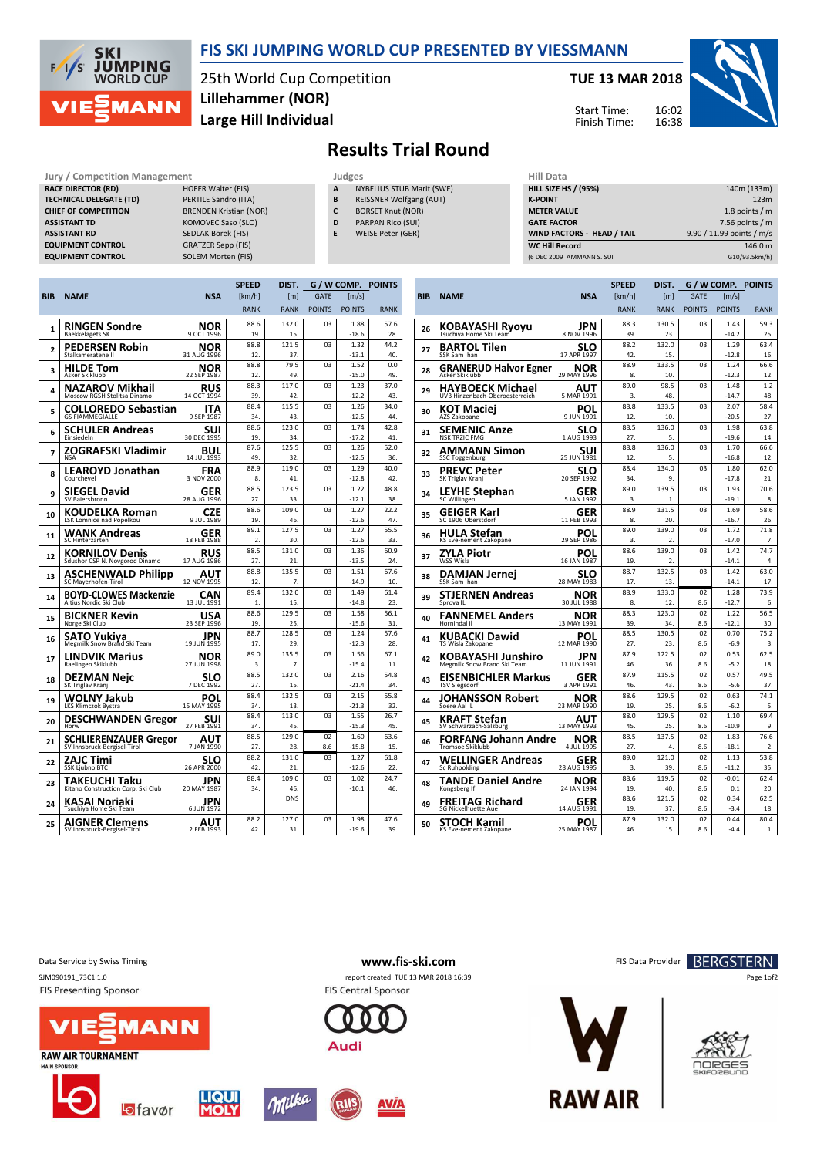

## FIS SKI JUMPING WORLD CUP PRESENTED BY VIESSMANN

25th World Cup Competition Large Hill Individual Lillehammer (NOR)

## TUE 13 MAR 2018





## Results Trial Round

Jury / Competition Management Judges Judges Hill Dat<br>
RACE DIRECTOR (RD) HILL SIZE HOFER Walter (FIS) **A** NYBELIUS STUB Marit (SWE) HILL SIZE RACE DIRECTOR (RD) TECHNICAL DELEGATE (TD) PERTILE Sandro (ITA) CHIEF OF COMPETITION BRENDEN Kristian (NOR) ASSISTANT TD KOMOVEC Saso (SLO) ASSISTANT RD SEDLAK Borek (FIS) **EQUIPMENT CONTROL** 

- EQUIPMENT CONTROL GRATZER Sepp (FIS)<br>
EQUIPMENT CONTROL SOLEM Morten (FIS)
- **NYBELIUS STUB Marit (SWE)**
- B REISSNER Wolfgang (AUT)
- C BORSET Knut (NOR)
- D PARPAN Rico (SUI)
- E WEISE Peter (GER)

| пш иата                           |                           |
|-----------------------------------|---------------------------|
| <b>HILL SIZE HS / (95%)</b>       | 140m (133m)               |
| <b>K-POINT</b>                    | 123m                      |
| <b>METER VALUE</b>                | 1.8 points $/m$           |
| <b>GATE FACTOR</b>                | 7.56 points $/m$          |
| <b>WIND FACTORS - HEAD / TAIL</b> | 9.90 / 11.99 points / m/s |
| <b>WC Hill Record</b>             | 146.0 m                   |
| (6 DEC 2009 AMMANN S. SUI         | G10/93.5km/h)             |

|                |                                                        |                           | <b>SPEED</b>  | DIST.            | G / W COMP.    |                 | <b>POINTS</b> |  |
|----------------|--------------------------------------------------------|---------------------------|---------------|------------------|----------------|-----------------|---------------|--|
| BIB            | <b>NAME</b>                                            | <b>NSA</b>                | [km/h]        | [ <sub>m</sub> ] | <b>GATE</b>    | [m/s]           |               |  |
|                |                                                        |                           | <b>RANK</b>   | <b>RANK</b>      | <b>POINTS</b>  | <b>POINTS</b>   | <b>RANK</b>   |  |
|                | RINGEN Sondre                                          | NOR                       | 88.6          | 132.0            | 03             | 1.88            | 57.6          |  |
| 1              | <b>Baekkelagets SK</b>                                 | 9 OCT 1996                | 19.           | 15.              |                | $-18.6$         | 28.           |  |
| $\overline{2}$ | PEDERSEN Robin                                         | NOR                       | 88.8          | 121.5            | 03             | 1.32            | 44.2          |  |
|                | Stalkameratene II                                      | 31 AUG 1996               | 12.           | 37.              |                | $-13.1$         | 40.           |  |
| 3              | <b>HILDE Tom</b>                                       | NOR                       | 88.8          | 79.5             | 03             | 1.52            | 0.0           |  |
|                | Asker Skiklubb                                         | 22 SEP 1987               | 12.           | 49.              |                | $-15.0$         | 49.           |  |
| 4              | NAZAROV Mikhail                                        | <b>RUS</b>                | 88.3          | 117.0            | 03             | 1.23            | 37.0          |  |
|                | Moscow RGSH Stolitsa Dinamo                            | 14 OCT 1994               | 39.           | 42.              |                | $-12.2$         | 43.           |  |
| 5              | <b>COLLOREDO Sebastian</b>                             | ITA                       | 88.4          | 115.5            | 03             | 1.26            | 34.0          |  |
|                | <b>GS FIAMMEGIALLE</b>                                 | 9 SEP 1987                | 34.           | 43.              |                | $-12.5$         | 44.           |  |
| 6              | SCHULER Andreas                                        | suı<br>30 DEC 1995        | 88.6          | 123.0            | 03             | 1.74            | 42.8          |  |
|                | Finsiedeln                                             |                           | 19.<br>87.6   | 34.<br>125.5     | 03             | $-17.2$<br>1.26 | 41.<br>52.0   |  |
| 7              | ZOGRAFSKI Vladimir<br><b>NSA</b>                       | BUL<br>14 JUL 1993        | 49.           | 32.              |                | $-12.5$         | 36.           |  |
|                |                                                        |                           | 88.9          | 119.0            | 0 <sup>3</sup> | 1.29            | 40.0          |  |
| 8              | <b>LEAROYD Jonathan</b><br>Courchevel                  | FRA<br>3 NOV 2000         | 8.            | 41.              |                | $-12.8$         | 42.           |  |
|                | SIEGEL David                                           | GER                       | 88.5          | 123.5            | 03             | 1.22            | 48.8          |  |
| 9              | SV Baiersbronn                                         | 28 AUG 1996               | 27.           | 33.              |                | $-12.1$         | 38.           |  |
|                | <b>KOUDELKA Roman</b>                                  |                           | 88.6          | 109.0            | 03             | 1.27            | 22.2          |  |
| 10             | <b>LSK Lomnice nad Popelkou</b>                        | <b>CZE</b><br>1989 JUL 9  | 19.           | 46.              |                | $-12.6$         | 47.           |  |
| 11             | WANK Andreas                                           | GER                       | 89.1          | 127.5            | 03             | 1.27            | 55.5          |  |
|                | SC Hinterzarten                                        | 18 FEB 1988               | $\mathcal{P}$ | 30               |                | $-12.6$         | 33.           |  |
| 12             | KORNILOV Denis                                         | RUS                       | 88.5          | 131.0            | 03             | 1.36            | 60.9          |  |
|                | Sdushor CSP N. Novgorod Dinamo                         | 17 AUG 1986               | 27.           | 21               |                | $-13.5$         | 24            |  |
| 13             | ASCHENWALD Philipp                                     | AUT                       | 88.8          | 135.5            | 03             | 1.51            | 67.6          |  |
|                | SC Mayerhofen-Tirol                                    | 12 NOV 1995               | 12.<br>89.4   | 7.<br>132.0      | 03             | $-14.9$<br>1.49 | 10.           |  |
| 14             | <b>BOYD-CLOWES Mackenzie</b><br>Altius Nordic Ski Club | <b>CAN</b><br>13 JUL 1991 | 1.            | 15.              |                | $-14.8$         | 61.4<br>23.   |  |
|                |                                                        |                           | 88.6          | 129.5            | 03             | 1.58            | 56.1          |  |
| 15             | BICKNER Kevin<br>Norge Ski Club                        | <b>USA</b><br>23 SEP 1996 | 19.           | 25.              |                | $-15.6$         | 31.           |  |
|                |                                                        | JPN                       | 88.7          | 128.5            | 03             | 1.24            | 57.6          |  |
| 16             | <b>SATO Yukiya</b><br>Megmilk Snow Brand Ski Team      | 19 JUN 1995               | 17.           | 29.              |                | $-12.3$         | 28.           |  |
| 17             | LINDVIK Marius                                         | NOR                       | 89.0          | 135.5            | 03             | 1.56            | 67.1          |  |
|                | Raelingen Skiklubb                                     | 27 JUN 1998               | 3.            | 7.               |                | $-15.4$         | 11.           |  |
| 18             | DEZMAN Neic                                            | SLO                       | 88.5          | 132.0            | 03             | 2.16            | 54.8          |  |
|                | SK Triglav Kranj                                       | 7 DEC 1992                | 27.           | 15.              |                | $-21.4$         | 34.           |  |
| 19             | WOLNY Jakub                                            | POL                       | 88.4          | 132.5            | 03             | 2.15            | 55.8          |  |
|                | LKS Klimczok Bystra                                    | 15 MAY 1995               | 34.<br>88.4   | 13.<br>113.0     | 03             | $-21.3$         | 32.           |  |
| 20             | <b>DESCHWANDEN Gregor</b><br>Horw                      | suı<br>27 FEB 1991        | 34.           | 45.              |                | 1.55<br>$-15.3$ | 26.7<br>45.   |  |
|                |                                                        |                           | 88.5          | 129.0            | 02             | 1.60            | 63.6          |  |
| 21             | SCHLIERENZAUER Gregor<br>SV Innsbruck-Bergisel-Tirol   | AUT<br>7 JAN 1990         | 27.           | 28.              | 8.6            | $-15.8$         | 15.           |  |
|                | <b>ZAJC Timi</b>                                       | slo                       | 88.2          | 131.0            | 03             | 1.27            | 61.8          |  |
| 22             | <b>SSK Liubno BTC</b>                                  | 26 APR 2000               | 42.           | 21.              |                | $-12.6$         | 22.           |  |
|                | TAKEUCHI Taku                                          | JPN                       | 88.4          | 109.0            | 03             | 1.02            | 24.7          |  |
| 23             | Kitano Construction Corp. Ski Club                     | 20 MAY 1987               | 34.           | 46.              |                | $-10.1$         | 46.           |  |
| 24             | KASAI Noriaki                                          | JPN                       |               | <b>DNS</b>       |                |                 |               |  |
|                | Tsuchiya Home Ski Team                                 | 6 JUN 1972                |               |                  |                |                 |               |  |
| 25             | AIGNER Clemens                                         | AUT                       | 88.2          | 127.0            | 03             | 1.98            | 47.6          |  |
|                | SV Innsbruck-Bergisel-Tirol                            | 2 FEB 1993                | 42.           | 31.              |                | $-19.6$         | 39.           |  |
|                |                                                        |                           |               |                  |                |                 |               |  |

|            |                                                    |                    | <b>SPEED</b> | DIST.            | G / W COMP.   |                 | <b>POINTS</b> |
|------------|----------------------------------------------------|--------------------|--------------|------------------|---------------|-----------------|---------------|
| <b>BIB</b> | <b>NAME</b>                                        | <b>NSA</b>         | [km/h]       | [ <sub>m</sub> ] | <b>GATE</b>   | [m/s]           |               |
|            |                                                    |                    | <b>RANK</b>  | <b>RANK</b>      | <b>POINTS</b> | <b>POINTS</b>   | <b>RANK</b>   |
| 26         | KOBAYASHI Ryoyu                                    | JPN                | 88.3         | 130.5            | 03            | 1.43            | 59.3          |
|            |                                                    | 8 NOV 1996         | 39.          | 23.              |               | $-14.2$         | 25.           |
| 27         | <b>BARTOL Tilen</b>                                | SLO                | 88.2         | 132.0            | 03            | 1.29            | 63.4          |
|            | SSK Sam Ihan                                       | 17 APR 1997        | 42.          | 15.              |               | $-12.8$         | 16.           |
| 28         | <b>GRANERUD Halvor Egner</b><br>Asker Skiklubb     | NOR<br>29 MAY 1996 | 88.9<br>8.   | 133.5<br>10.     | 03            | 1.24<br>$-12.3$ | 66.6<br>12.   |
|            | HAYBOECK Michael                                   | AUT                | 89.0         | 98.5             | 03            | 1.48            | 1.2           |
| 29         | UVB Hinzenbach-Oberoesterreich                     | 5 MAR 1991         | 3.           | 48.              |               | $-14.7$         | 48.           |
| 30         | KOT Maciej                                         | POL                | 88.8         | 133.5            | 03            | 2.07            | 58.4          |
|            | AZS Zakopane                                       | 9 JUN 1991         | 12.          | 10.              |               | $-20.5$         | 27.           |
| 31         | <b>SEMENIC Anze</b>                                | SLO                | 88.5         | 136.0            | 03            | 1.98            | 63.8          |
|            | <b>NSK TRZIC FMG</b>                               | 1 AUG 1993         | 27.          | 5.               |               | $-19.6$         | 14.           |
| 32         | AMMANN Simon                                       | suı                | 88.8         | 136.0            | 03            | 1.70            | 66.6          |
|            | <b>SSC Toggenburg</b>                              | 25 JUN 1981        | 12.          | 5.               |               | $-16.8$         | 12.           |
| 33         | <b>PREVC Peter</b>                                 | SLO                | 88.4         | 134.0            | 03            | 1.80            | 62.0          |
|            | SK Triglav Kranj                                   | 20 SEP 1992        | 34.          | 9.               |               | $-17.8$         | 21.           |
| 34         | <b>LEYHE Stephan</b>                               | GER                | 89.0         | 139.5            | 03            | 1.93            | 70.6          |
|            | SC Willingen                                       | 5 JAN 1992         | 3.           | 1.               |               | $-19.1$         | 8.            |
| 35         | GEIGER Karl                                        | GER                | 88.9         | 131.5            | 03            | 1.69            | 58.6          |
|            | SC 1906 Oberstdorf                                 | 11 FEB 1993        | 8.           | 20.              |               | $-16.7$         | 26.           |
| 36         | HULA Stefan                                        | POL                | 89.0         | 139.0            | 03            | 1.72            | 71.8          |
|            | KS Eve-nement Zakopane                             | 29 SEP 1986        | 3.           | 2.               |               | $-17.0$         | 7.            |
| 37         | ZYLA Piotr                                         | POL                | 88.6         | 139.0            | 03            | 1.42            | 74.7          |
|            | WSS Wisla                                          | 16 JAN 1987        | 19.          | 2.               |               | $-14.1$         | 4.            |
| 38         | <b>DAMJAN Jernei</b>                               | SLO                | 88.7         | 132.5            | 03            | 1.42            | 63.0          |
|            | SSK Sam Ihan                                       | 28 MAY 1983        | 17.          | 13.              |               | $-14.1$         | 17.           |
| 39         | STJERNEN Andreas                                   | NOR                | 88.9         | 133.0            | 02            | 1.28            | 73.9          |
|            | Sprova IL                                          | 30 JUL 1988        | 8.           | 12.              | 8.6           | $-12.7$         | 6.            |
| 40         | <b>FANNEMEL Anders</b><br>Hornindal II             | NOR<br>13 MAY 1991 | 88.3<br>39.  | 123.0<br>34.     | 02<br>8.6     | 1.22<br>$-12.1$ | 56.5<br>30.   |
|            |                                                    |                    | 88.5         | 130.5            | 02            | 0.70            | 75.2          |
| 41         | <b>KUBACKI Dawid</b><br>TS Wisla Zakopane          | POL<br>12 MAR 1990 | 27.          | 23.              | 8.6           | $-6.9$          | 3.            |
|            |                                                    |                    | 87.9         | 122.5            | 02            | 0.53            | 62.5          |
| 42         | KOBAYASHI Junshiro<br>Megmilk Snow Brand Ski Team  | JPN<br>11 JUN 1991 | 46.          | 36.              | 8.6           | $-5.2$          | 18.           |
|            |                                                    | GER                | 87.9         | 115.5            | 02            | 0.57            | 49.5          |
| 43         | <b>EISENBICHLER Markus</b><br><b>TSV Siegsdorf</b> | 3 APR 1991         | 46.          | 43.              | 8.6           | $-5.6$          | 37.           |
|            | JOHANSSON Robert                                   | NOR                | 88.6         | 129.5            | 02            | 0.63            | 74.1          |
| 44         | Soere Aal IL                                       | 23 MAR 1990        | 19.          | 25.              | 8.6           | $-6.2$          | 5.            |
|            | KRAFT Stefan                                       | AUT                | 88.0         | 129.5            | 02            | 1.10            | 69.4          |
| 45         | SV Schwarzach-Salzburg                             | 13 MAY 1993        | 45.          | 25.              | 8.6           | $-10.9$         | q             |
| 46         | FORFANG Johann Andre                               | NOR                | 88.5         | 137.5            | 02            | 1.83            | 76.6          |
|            | Tromsoe Skiklubb                                   | 4 JUL 1995         | 27.          | 4.               | 8.6           | $-18.1$         | 2.            |
| 47         | WELLINGER Andreas                                  | GER                | 89.0         | 121.0            | 02            | 1.13            | 53.8          |
|            | Sc Ruhpolding                                      | 28 AUG 1995        | 3.           | 39.              | 8.6           | -11.2           | 35.           |
| 48         | <b>TANDE Daniel Andre</b>                          | NOR                | 88.6         | 119.5            | 02            | $-0.01$         | 62.4          |
|            | Kongsberg If                                       | 24 JAN 1994        | 19.          | 40.              | 8.6           | 0.1             | 20.           |
| 49         | FREITAG Richard                                    | GER                | 88.6         | 121.5            | 02            | 0.34            | 62.5          |
|            | <b>SG Nickelhuette Aue</b>                         | 14 AUG 1991        | 19.          | 37.              | 8.6           | $-3.4$          | 18.           |
| 50         | STOCH Kamil                                        | POL                | 87.9         | 132.0            | 02            | 0.44            | 80.4          |
|            | KS Eve-nement Zakopane                             | 25 MAY 1987        | 46.          | 15.              | 8.6           | $-4.4$          | 1.            |